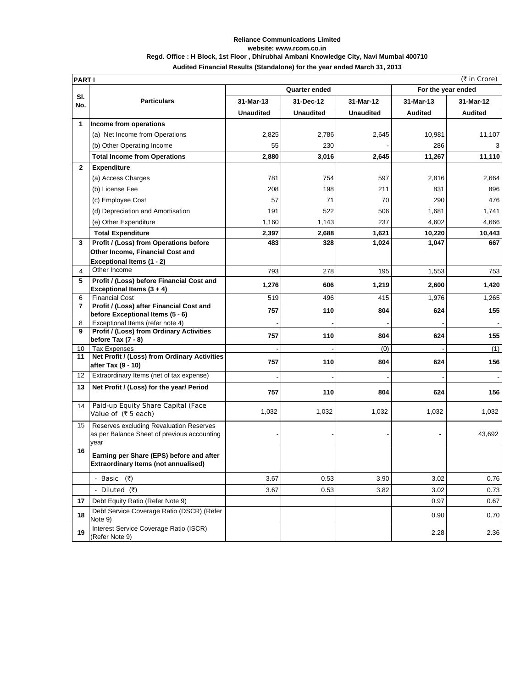## **Reliance Communications Limited website: www.rcom.co.in Regd. Office : H Block, 1st Floor , Dhirubhai Ambani Knowledge City, Navi Mumbai 400710 Audited Financial Results (Standalone) for the year ended March 31, 2013**

| <b>PARTI</b>     |                                                                                                |                  |                  |                  |                    | (₹ in Crore)   |
|------------------|------------------------------------------------------------------------------------------------|------------------|------------------|------------------|--------------------|----------------|
|                  |                                                                                                | Quarter ended    |                  |                  | For the year ended |                |
| SI.<br>No.       | <b>Particulars</b>                                                                             | 31-Mar-13        | 31-Dec-12        | 31-Mar-12        | 31-Mar-13          | 31-Mar-12      |
|                  |                                                                                                | <b>Unaudited</b> | <b>Unaudited</b> | <b>Unaudited</b> | <b>Audited</b>     | <b>Audited</b> |
| 1                | Income from operations                                                                         |                  |                  |                  |                    |                |
|                  | (a) Net Income from Operations                                                                 | 2,825            | 2,786            | 2,645            | 10,981             | 11,107         |
|                  | (b) Other Operating Income                                                                     | 55               | 230              |                  | 286                | 3              |
|                  | <b>Total Income from Operations</b>                                                            | 2,880            | 3,016            | 2,645            | 11,267             | 11,110         |
| $\mathbf{2}$     | <b>Expenditure</b>                                                                             |                  |                  |                  |                    |                |
|                  | (a) Access Charges                                                                             | 781              | 754              | 597              | 2,816              | 2,664          |
|                  | (b) License Fee                                                                                | 208              | 198              | 211              | 831                | 896            |
|                  | (c) Employee Cost                                                                              | 57               | 71               | 70               | 290                | 476            |
|                  | (d) Depreciation and Amortisation                                                              | 191              | 522              | 506              | 1,681              | 1,741          |
|                  | (e) Other Expenditure                                                                          | 1,160            | 1,143            | 237              | 4,602              | 4,666          |
|                  | <b>Total Expenditure</b>                                                                       | 2,397            | 2,688            | 1,621            | 10,220             | 10,443         |
| 3                | Profit / (Loss) from Operations before                                                         | 483              | 328              | 1,024            | 1,047              | 667            |
|                  | Other Income, Financial Cost and                                                               |                  |                  |                  |                    |                |
|                  | Exceptional Items (1 - 2)                                                                      |                  |                  |                  |                    |                |
| 4                | Other Income                                                                                   | 793              | 278              | 195              | 1,553              | 753            |
| 5                | Profit / (Loss) before Financial Cost and<br>Exceptional Items $(3 + 4)$                       | 1,276            | 606              | 1,219            | 2,600              | 1,420          |
| 6                | <b>Financial Cost</b>                                                                          | 519              | 496              | 415              | 1,976              | 1,265          |
| $\overline{7}$   | Profit / (Loss) after Financial Cost and                                                       | 757              | 110              | 804              | 624                | 155            |
|                  | before Exceptional Items (5 - 6)                                                               |                  |                  |                  |                    |                |
| 8<br>9           | Exceptional Items (refer note 4)<br>Profit / (Loss) from Ordinary Activities                   |                  |                  |                  |                    |                |
|                  | before Tax $(7 - 8)$                                                                           | 757              | 110              | 804              | 624                | 155            |
| 10               | <b>Tax Expenses</b>                                                                            |                  |                  | (0)              |                    | (1)            |
| 11               | Net Profit / (Loss) from Ordinary Activities<br>after Tax (9 - 10)                             | 757              | 110              | 804              | 624                | 156            |
| 12               | Extraordinary Items (net of tax expense)                                                       |                  |                  |                  |                    |                |
| 13               | Net Profit / (Loss) for the year/ Period                                                       | 757              | 110              | 804              | 624                | 156            |
| 14               | Paid-up Equity Share Capital (Face<br>Value of (₹ 5 each)                                      | 1,032            | 1,032            | 1,032            | 1,032              | 1,032          |
| 15 <sup>15</sup> | Reserves excluding Revaluation Reserves<br>as per Balance Sheet of previous accounting<br>year |                  |                  |                  |                    | 43,692         |
| 16               | Earning per Share (EPS) before and after<br>Extraordinary Items (not annualised)               |                  |                  |                  |                    |                |
|                  | - Basic (₹)                                                                                    | 3.67             | 0.53             | 3.90             | 3.02               | 0.76           |
|                  | Diluted $(3)$<br>$\blacksquare$                                                                | 3.67             | 0.53             | 3.82             | 3.02               | 0.73           |
| 17               | Debt Equity Ratio (Refer Note 9)                                                               |                  |                  |                  | 0.97               | 0.67           |
| 18               | Debt Service Coverage Ratio (DSCR) (Refer<br>Note 9)                                           |                  |                  |                  | 0.90               | 0.70           |
| 19               | Interest Service Coverage Ratio (ISCR)<br>(Refer Note 9)                                       |                  |                  |                  | 2.28               | 2.36           |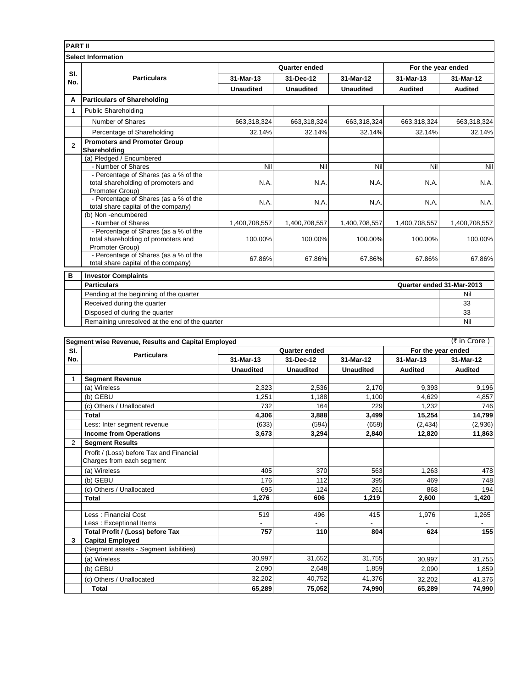|                | <b>Select Information</b><br>Quarter ended                                                      |                                     |                  |                  |                                              |                |
|----------------|-------------------------------------------------------------------------------------------------|-------------------------------------|------------------|------------------|----------------------------------------------|----------------|
| SI.<br>No.     | <b>Particulars</b>                                                                              | 31-Mar-13<br>31-Dec-12<br>31-Mar-12 |                  |                  | For the year ended<br>31-Mar-13<br>31-Mar-12 |                |
|                |                                                                                                 | <b>Unaudited</b>                    | <b>Unaudited</b> | <b>Unaudited</b> | <b>Audited</b>                               | <b>Audited</b> |
| A              | <b>Particulars of Shareholding</b>                                                              |                                     |                  |                  |                                              |                |
| $\mathbf 1$    | <b>Public Shareholding</b>                                                                      |                                     |                  |                  |                                              |                |
|                | Number of Shares                                                                                | 663,318,324                         | 663,318,324      | 663,318,324      | 663,318,324                                  | 663,318,324    |
|                | Percentage of Shareholding                                                                      | 32.14%                              | 32.14%           | 32.14%           | 32.14%                                       | 32.14%         |
| $\overline{2}$ | <b>Promoters and Promoter Group</b><br>Shareholding                                             |                                     |                  |                  |                                              |                |
|                | (a) Pledged / Encumbered                                                                        |                                     |                  |                  |                                              |                |
|                | - Number of Shares                                                                              | Nil                                 | Nil              | Nil              | Nil                                          | Nil            |
|                | - Percentage of Shares (as a % of the<br>total shareholding of promoters and<br>Promoter Group) | N.A.                                | N.A.             | N.A              | N.A.                                         | N.A.           |
|                | - Percentage of Shares (as a % of the<br>total share capital of the company)                    | N.A.                                | N.A.             | N.A.             | N.A.                                         | N.A.           |
|                | (b) Non-encumbered                                                                              |                                     |                  |                  |                                              |                |
|                | - Number of Shares                                                                              | 1,400,708,557                       | 1,400,708,557    | 1,400,708,557    | 1,400,708,557                                | 1,400,708,557  |
|                | - Percentage of Shares (as a % of the<br>total shareholding of promoters and<br>Promoter Group) | 100.00%                             | 100.00%          | 100.00%          | 100.00%                                      | 100.00%        |
|                | - Percentage of Shares (as a % of the<br>total share capital of the company)                    | 67.86%                              | 67.86%           | 67.86%           | 67.86%                                       | 67.86%         |
| в              | <b>Investor Complaints</b>                                                                      |                                     |                  |                  |                                              |                |
|                | Quarter ended 31-Mar-2013<br><b>Particulars</b>                                                 |                                     |                  |                  |                                              |                |
|                | Pending at the beginning of the quarter                                                         |                                     |                  |                  |                                              | Nil            |
|                | Received during the quarter                                                                     |                                     |                  |                  |                                              | 33             |
|                | Disposed of during the quarter                                                                  |                                     |                  |                  |                                              | 33             |
|                | Remaining unresolved at the end of the quarter                                                  |                                     |                  |                  |                                              | Nil            |

|                | Segment wise Revenue, Results and Capital Employed                    |                  |                  |                  |                    | (₹ in Crore)   |
|----------------|-----------------------------------------------------------------------|------------------|------------------|------------------|--------------------|----------------|
| SI.<br>No.     | <b>Particulars</b>                                                    | Quarter ended    |                  |                  | For the year ended |                |
|                |                                                                       | 31-Mar-13        | 31-Dec-12        | 31-Mar-12        | 31-Mar-13          | 31-Mar-12      |
|                |                                                                       | <b>Unaudited</b> | <b>Unaudited</b> | <b>Unaudited</b> | <b>Audited</b>     | <b>Audited</b> |
| 1              | <b>Segment Revenue</b>                                                |                  |                  |                  |                    |                |
|                | (a) Wireless                                                          | 2,323            | 2,536            | 2.170            | 9,393              | 9,196          |
|                | (b) GEBU                                                              | 1,251            | 1.188            | 1.100            | 4,629              | 4,857          |
|                | (c) Others / Unallocated                                              | 732              | 164              | 229              | 1,232              | 746            |
|                | Total                                                                 | 4.306            | 3.888            | 3.499            | 15,254             | 14,799         |
|                | Less: Inter segment revenue                                           | (633)            | (594)            | (659)            | (2, 434)           | (2,936)        |
|                | <b>Income from Operations</b>                                         | 3,673            | 3.294            | 2,840            | 12,820             | 11,863         |
| $\overline{2}$ | <b>Segment Results</b>                                                |                  |                  |                  |                    |                |
|                | Profit / (Loss) before Tax and Financial<br>Charges from each segment |                  |                  |                  |                    |                |
|                | (a) Wireless                                                          | 405              | 370              | 563              | 1,263              | 478            |
|                | (b) GEBU                                                              | 176              | 112              | 395              | 469                | 748            |
|                | (c) Others / Unallocated                                              | 695              | 124              | 261              | 868                | 194            |
|                | <b>Total</b>                                                          | 1,276            | 606              | 1,219            | 2,600              | 1,420          |
|                | Less: Financial Cost                                                  | 519              | 496              | 415              | 1.976              | 1,265          |
|                | Less: Exceptional Items                                               |                  |                  |                  |                    |                |
|                | Total Profit / (Loss) before Tax                                      | 757              | 110              | 804              | 624                | 155            |
| 3              | <b>Capital Employed</b>                                               |                  |                  |                  |                    |                |
|                | (Segment assets - Segment liabilities)                                |                  |                  |                  |                    |                |
|                | (a) Wireless                                                          | 30,997           | 31,652           | 31,755           | 30,997             | 31,755         |
|                | (b) GEBU                                                              | 2.090            | 2.648            | 1.859            | 2.090              | 1.859          |
|                | (c) Others / Unallocated                                              | 32,202           | 40.752           | 41.376           | 32.202             | 41,376         |
|                | <b>Total</b>                                                          | 65,289           | 75.052           | 74,990           | 65,289             | 74,990         |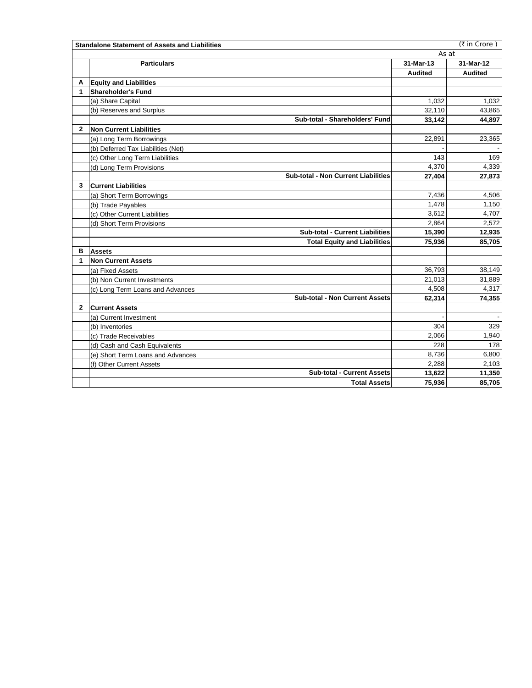|              | (₹ in Crore)<br><b>Standalone Statement of Assets and Liabilities</b> |                |                |  |  |  |
|--------------|-----------------------------------------------------------------------|----------------|----------------|--|--|--|
|              | As at                                                                 |                |                |  |  |  |
|              | <b>Particulars</b>                                                    | 31-Mar-13      | 31-Mar-12      |  |  |  |
|              |                                                                       | <b>Audited</b> | <b>Audited</b> |  |  |  |
| A            | <b>Equity and Liabilities</b>                                         |                |                |  |  |  |
| 1            | <b>Shareholder's Fund</b>                                             |                |                |  |  |  |
|              | (a) Share Capital                                                     | 1,032          | 1,032          |  |  |  |
|              | (b) Reserves and Surplus                                              | 32,110         | 43,865         |  |  |  |
|              | Sub-total - Shareholders' Fund                                        | 33,142         | 44,897         |  |  |  |
| $\mathbf{2}$ | <b>Non Current Liabilities</b>                                        |                |                |  |  |  |
|              | (a) Long Term Borrowings                                              | 22,891         | 23,365         |  |  |  |
|              | (b) Deferred Tax Liabilities (Net)                                    |                |                |  |  |  |
|              | (c) Other Long Term Liabilities                                       | 143            | 169            |  |  |  |
|              | (d) Long Term Provisions                                              | 4,370          | 4,339          |  |  |  |
|              | <b>Sub-total - Non Current Liabilities</b>                            | 27,404         | 27,873         |  |  |  |
| 3            | <b>Current Liabilities</b>                                            |                |                |  |  |  |
|              | (a) Short Term Borrowings                                             | 7,436          | 4,506          |  |  |  |
|              | (b) Trade Payables                                                    | 1,478          | 1,150          |  |  |  |
|              | (c) Other Current Liabilities                                         | 3,612          | 4,707          |  |  |  |
|              | (d) Short Term Provisions                                             | 2,864          | 2,572          |  |  |  |
|              | <b>Sub-total - Current Liabilities</b>                                | 15,390         | 12,935         |  |  |  |
|              | <b>Total Equity and Liabilities</b>                                   | 75,936         | 85,705         |  |  |  |
| в            | <b>Assets</b>                                                         |                |                |  |  |  |
| 1            | <b>Non Current Assets</b>                                             |                |                |  |  |  |
|              | (a) Fixed Assets                                                      | 36,793         | 38,149         |  |  |  |
|              | (b) Non Current Investments                                           | 21,013         | 31,889         |  |  |  |
|              | (c) Long Term Loans and Advances                                      | 4,508          | 4,317          |  |  |  |
|              | <b>Sub-total - Non Current Assets</b>                                 | 62,314         | 74,355         |  |  |  |
| $\mathbf{2}$ | <b>Current Assets</b>                                                 |                |                |  |  |  |
|              | (a) Current Investment                                                |                |                |  |  |  |
|              | (b) Inventories                                                       | 304            | 329            |  |  |  |
|              | (c) Trade Receivables                                                 | 2,066          | 1,940          |  |  |  |
|              | (d) Cash and Cash Equivalents                                         | 228            | 178            |  |  |  |
|              | (e) Short Term Loans and Advances                                     | 8,736          | 6,800          |  |  |  |
|              | (f) Other Current Assets                                              | 2,288          | 2,103          |  |  |  |
|              | <b>Sub-total - Current Assets</b>                                     | 13,622         | 11,350         |  |  |  |
|              | <b>Total Assets</b>                                                   | 75,936         | 85,705         |  |  |  |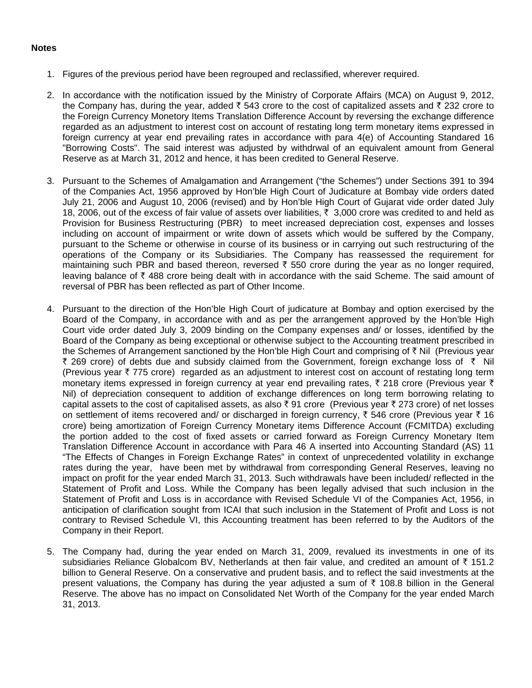## **Notes**

- 1. Figures of the previous period have been regrouped and reclassified, wherever required.
- 2. In accordance with the notification issued by the Ministry of Corporate Affairs (MCA) on August 9, 2012, the Company has, during the year, added  $\bar{\tau}$  543 crore to the cost of capitalized assets and  $\bar{\tau}$  232 crore to the Foreign Currency Monetory Items Translation Difference Account by reversing the exchange difference regarded as an adjustment to interest cost on account of restating long term monetary items expressed in foreign currency at year end prevailing rates in accordance with para 4(e) of Accounting Standared 16 "Borrowing Costs". The said interest was adjusted by withdrwal of an equivalent amount from General Reserve as at March 31, 2012 and hence, it has been credited to General Reserve.
- 3. Pursuant to the Schemes of Amalgamation and Arrangement ("the Schemes") under Sections 391 to 394 of the Companies Act, 1956 approved by Hon'ble High Court of Judicature at Bombay vide orders dated July 21, 2006 and August 10, 2006 (revised) and by Hon'ble High Court of Gujarat vide order dated July 18, 2006, out of the excess of fair value of assets over liabilities,  $\bar{\tau}$  3,000 crore was credited to and held as Provision for Business Restructuring (PBR) to meet increased depreciation cost, expenses and losses including on account of impairment or write down of assets which would be suffered by the Company, pursuant to the Scheme or otherwise in course of its business or in carrying out such restructuring of the operations of the Company or its Subsidiaries. The Company has reassessed the requirement for maintaining such PBR and based thereon, reversed  $\bar{\tau}$  550 crore during the year as no longer required, leaving balance of  $\bar{\tau}$  488 crore being dealt with in accordance with the said Scheme. The said amount of reversal of PBR has been reflected as part of Other Income.
- 4. Pursuant to the direction of the Hon'ble High Court of judicature at Bombay and option exercised by the Board of the Company, in accordance with and as per the arrangement approved by the Hon'ble High Court vide order dated July 3, 2009 binding on the Company expenses and/ or losses, identified by the Board of the Company as being exceptional or otherwise subject to the Accounting treatment prescribed in the Schemes of Arrangement sanctioned by the Hon'ble High Court and comprising of  $\bar{\tau}$  Nil (Previous year ₹ 269 crore) of debts due and subsidy claimed from the Government, foreign exchange loss of ₹ Nil (Previous year  $\bar{\tau}$  775 crore) regarded as an adjustment to interest cost on account of restating long term monetary items expressed in foreign currency at year end prevailing rates,  $\bar{\tau}$  218 crore (Previous year  $\bar{\tau}$ Nil) of depreciation consequent to addition of exchange differences on long term borrowing relating to capital assets to the cost of capitalised assets, as also  $\bar{\tau}$  91 crore (Previous year  $\bar{\tau}$  273 crore) of net losses on settlement of items recovered and/ or discharged in foreign currency,  $\bar{\tau}$  546 crore (Previous year  $\bar{\tau}$  16 crore) being amortization of Foreign Currency Monetary items Difference Account (FCMITDA) excluding the portion added to the cost of fixed assets or carried forward as Foreign Currency Monetary Item Translation Difference Account in accordance with Para 46 A inserted into Accounting Standard (AS) 11 "The Effects of Changes in Foreign Exchange Rates" in context of unprecedented volatility in exchange rates during the year, have been met by withdrawal from corresponding General Reserves, leaving no impact on profit for the year ended March 31, 2013. Such withdrawals have been included/ reflected in the Statement of Profit and Loss. While the Company has been legally advised that such inclusion in the Statement of Profit and Loss is in accordance with Revised Schedule VI of the Companies Act, 1956, in anticipation of clarification sought from ICAI that such inclusion in the Statement of Profit and Loss is not contrary to Revised Schedule VI, this Accounting treatment has been referred to by the Auditors of the Company in their Report.
- 5. The Company had, during the year ended on March 31, 2009, revalued its investments in one of its subsidiaries Reliance Globalcom BV, Netherlands at then fair value, and credited an amount of  $\bar{\tau}$  151.2 billion to General Reserve. On a conservative and prudent basis, and to reflect the said investments at the present valuations, the Company has during the year adjusted a sum of  $\bar{\tau}$  108.8 billion in the General Reserve. The above has no impact on Consolidated Net Worth of the Company for the year ended March 31, 2013.